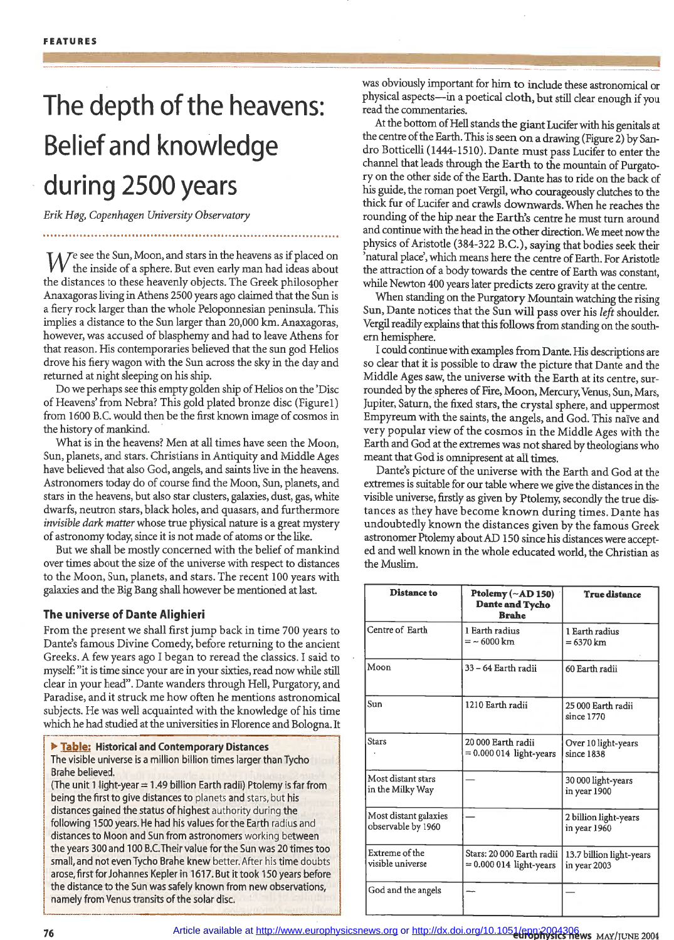# **The depth of the heavens: Belief and knowledge during 2500 years**

*Erik H"g, Copenhagen University Observatory*

W<sup>e</sup> see the Sun, Moon, and stars in the heavens as if placed on<br>the inside of a sphere. But even early man had ideas about the distances to these heavenly objects. The Greek philosopher Anaxagoras living in Athens 2500 years ago claimed that the Sun is a fiery rock larger than the whole Peloponnesian peninsula. This implies a distance to the Sun larger than 20,000 km. Anaxagoras. however, was accused of blasphemy and had to leave Athens for that reason. His contemporaries believed that the sun god Helios drove his fiery wagon with the Sun across the sky in the day and returned at night sleeping on his ship.

Do we perhaps see this empty golden ship of Helios on the 'Disc of Heavens' from Nebra? This gold plated bronze disc (Figure1) from 1600 B.C. would then be the first known image of cosmos in the history of mankind.

What is in the heavens? Men at all times have seen the Moon, Sun, planets, and stars. Christians in Antiquity and Middle Ages have believed that also God. angels. and saints live in the heavens. Astronomers today do of course find the Moon, Sun. planets, and stars in the heavens, but also star clusters. galaxies. dust, gas, white dwarfs, neutron stars. black holes, and quasars, and furthermore *invisible dark matter* whose true physical nature is a great mystery of astronomy today. since it is not made of atoms or the like.

But we shall be mostly concerned with the belief of mankind over times about the size of the universe with respect to distances to the Moon, Sun, planets. and stars. The recent 100 years with galaxies and the Big Bang shall however be mentioned at last.

### The universe of Dante Alighieri

From the present we shall first jump back in time 700 years to Dante's famous Divine Comedy, before returning to the ancient Greeks. A few years ago I began to reread the classics. I said to myself: "it is time since your are in your sixties. read now while still clear in your head". Dante wanders through Hell. Purgatory. and Paradise, and it struck me how often he mentions astronomical subjects. He was well acquainted with the knowledge of his time which he had studied at the universities in Florence and Bologna.It

**Table:** Historical and Contemporary Distances I The visible universe is a million billion times larger than Tycho Brahe betieved.

(The unit 1 light-year  $= 1.49$  billion Earth radii) Ptolemy is far from being the first to give distances to planets and stars, but his being the first to give distances to planets and stars, but his distances gained the status of highest authority during the following 1500 years. He had his values for the Earth radius and distances to Moon and Sun from astronomers working between the years 300 and 100 B.C.Their value for the Sun was 20 times too small, and not even Tycho Brahe knew better. After his time doubts arose, first for Johannes Kepler in 1617. But it took 150 years before the distance to the sun was safely known from<br>namely from Venus transits of the solar disc. the distance to the Sun was safely known from new observations,

was obviously important for him to include these astronomical or physical aspects-in a poetical cloth, but still clear enough if you read the commentaries.

At the bottom of Hell stands the giant Lucifer with his genitals at the centre of the Earth. This is seen on a drawing (Figure 2) by Sandro Botticelli (1444-1510). Dante must pass Lucifer to enter the channel that leads through the Earth to the mountain of Purgatory on the other side of the Earth. Dante has to ride on the back of his guide, the roman poet Vergil, who courageously clutches to the thick fur of Lucifer and crawls downwards. When he reaches the rounding of the hip near the Earth's centre he must turn around and continue with the head in the other direction.We meet nowthe physics of Aristotle (384-322 B.C.), saying that bodies seek their 'natural place', which means here the centre of Earth. For Aristotle the attraction of a body towards the centre of Earth was constant. while Newton 400 years later predicts zero gravity at the centre.

When standing on the Purgatory Mountain watching the rising Sun, Dante notices that the Sun will pass over his *left* shoulder. Vergil readily explains that this follows from standing on the southern hemisphere.

I could continue with examples from Dante. His descriptions are so clear that it is possible to draw the picture that Dante and the Middle Ages saw. the universe with the Earth at its centre, surrounded by the spheres of Fire, Moon, Mercury, Venus, Sun, Mars, Jupiter, Saturn. the fixed stars, the crystal sphere. and uppermost Empyreum with the saints, the angels, and God. This naive and very popular view of the cosmos in the Middle Ages with the Earth and God at the extremes was not shared by theologians who meant that God is omnipresent at all times.

Dante's picture of the universe with the Earth and God at the extremes is suitable for our table where we give the distances in the visible universe. firstly as given by Ptolemy. secondly the true distances as they have become known during times. Dante has undoubtedly known the distances given by the famous Greek astronomer Ptolemy about AD 150 since his distances were accepted and well known in the whole educated world, the Christian as the Muslim.

| Distance to                                 | Ptolemy $(\sim$ AD 150)<br><b>Dante and Tycho</b><br><b>Brahe</b> | True distance                            |
|---------------------------------------------|-------------------------------------------------------------------|------------------------------------------|
| Centre of Earth                             | 1 Earth radius<br>$=$ $\sim$ 6000 km                              | 1 Earth radius<br>$= 6370$ km            |
| Moon                                        | 33 – 64 Earth radii                                               | 60 Earth radii                           |
| Sun                                         | 1210 Earth radii                                                  | 25 000 Earth radii<br>since 1770         |
| Stars                                       | 20 000 Earth radii<br>$= 0.000014$ light-years                    | Over 10 light-years<br>since 1838        |
| Most distant stars<br>in the Milky Way      |                                                                   | 30 000 light-years<br>in year 1900       |
| Most distant galaxies<br>observable by 1960 |                                                                   | 2 billion light-years<br>in year 1960    |
| Extreme of the<br>visible universe          | Stars: 20 000 Earth radii<br>$= 0.000014$ light-years             | 13.7 billion light-years<br>in year 2003 |
| God and the angels                          |                                                                   |                                          |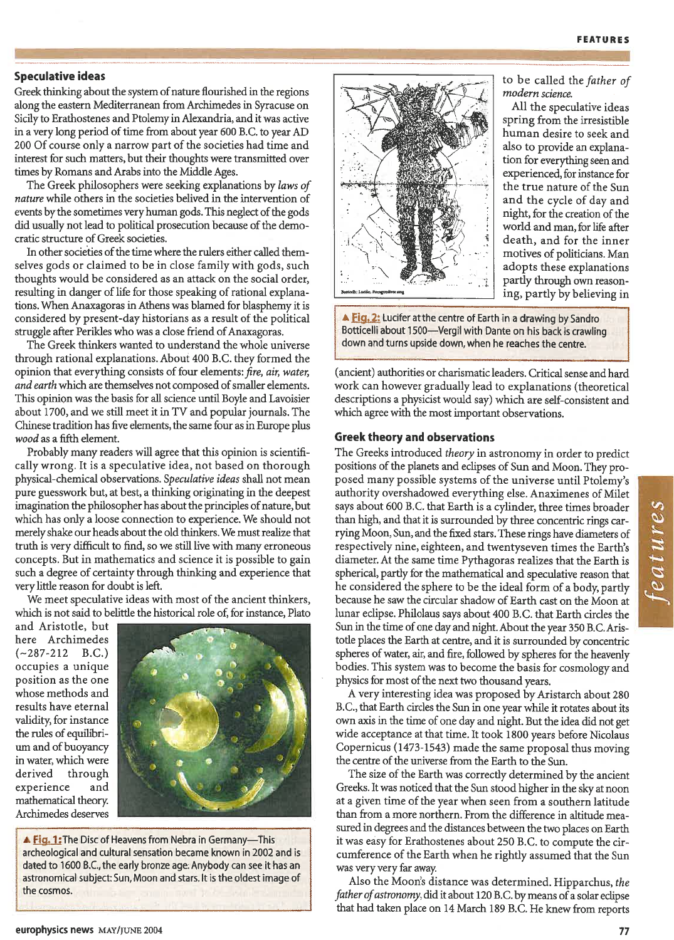#### **Speculative ideas**

Greek thinking about the system of nature flourished in the regions along the eastern Mediterranean from Archimedes in Syracuse on Sicily to Erathostenes and Ptolemy in Alexandria, and it was active in a very long period of time from about year 600 B.C. to year AD 200 Of course only a narrow part of the societies had time and interest for such matters, but their thoughts were transmitted over times by Romans and Arabs into the Middle Ages.

The Greek philosophers were seeking explanations by *laws of nature* while others in the societies belived in the intervention of events by the sometimes very human gods. This neglect of the gods did usually not lead to political prosecution because of the democratic structure of Greek societies.

In other societies of the time where the rulers either called themselves gods or claimed to be in close family with gods, such thoughts would be considered as an attack on the social order, resulting in danger of life for those speaking of rational explanations. When Anaxagoras in Athens was blamed for blasphemy it is considered by present-day historians as a result of the political struggle after Perikles who was a close friend of Anaxagoras.

The Greek thinkers wanted to understand the whole universe through rational explanations. About 400 RC. they formed the opinion that everything consists of four elements: *fire, air, water, and earth* which are themselves not composed of smaller elements. This opinion was the basis for all science until Boyle and Lavoisier about 1700, and we still meet it in TV and popular journals. The Chinese tradition has five elements, the same four as in Europe plus *wood* as a fifth element.

Probably many readers will agree that this opinion is scientifically wrong. It is a speculative idea, not based on thorough physical-chemical observations. *Speculative ideas* shall not mean pure guesswork but, at best, a thinking originating in the deepest imagination the philosopher has about the principles of nature, but which has only a loose connection to experience. We should not merely shake our heads about the old thinkers.We must realize that truth is very difficult to find, so we still live with many erroneous concepts. But in mathematics and science it is possible to gain such a degree of certainty through thinking and experience that very little reason for doubt is left.

We meet speculative ideas with most of the ancient thinkers, which is not said to belittle the historical role of, for instance, Plato

and Aristotle, but here Archimedes  $(-287-212)$  B.C.) occupies a unique position as the one whose methods and results have eternal validity, for instance the rules of equilibrium and of buoyancy in water, which were derived through<br>experience and experience mathematical theory. Archimedes deserves



**4. Fig. 1:** The Disc of Heavens from Nebra in Germany-This archeological and cultural sensation became known in 2002 and is dated to 1600 B.C., the early bronze age; Anybody can see it has an astronomical subject: Sun, Moon and stars. It is the oldest image of the cosmos.



to be called the *father of modern science.*

All the speculative ideas spring from the irresistible human desire to seek and also to provide an explanation for everything seen and experienced, for instance for the true nature of the Sun and the cycle of day and night, for the creation of the world and man, for life after death, and for the inner motives of politicians. Man adopts these explanations partly through own reasoning, partly by believing in

**A Fig. 2:** Lucifer at the centre of Earth in a drawing by Sandro Botticelli about 1500-Vergil with Dante on his back is crawling down and turns upside down, when he reaches the centre.

(ancient) authorities or charismatic leaders. Critical sense and hard work can however gradually lead to explanations (theoretical descriptions a physicist would say) which are self-consistent and which agree with the most important observations.

#### **Greek theory and observations**

The Greeks introduced *theory* in astronomy in order to predict positions of the planets and eclipses of Sun and Moon. They proposed many possible systems of the universe until Ptolemy's authority overshadowed everything else. Anaximenes of Milet says about 600 B.C. that Earth is a cylinder, three times broader than high, and that it is surrounded by three concentric rings carrying Moon, Sun, and the fixed stars. These rings have diameters of respectively nine, eighteen, and twentyseven times the Earth's diameter. At the same time Pythagoras realizes that the Earth is spherical, partly for the mathematical and speculative reason that he considered the sphere to be the ideal form of a body, partly because he saw the circular shadow of Earth cast on the Moon at lunar eclipse. Philolaus says about 400 B.C. that Earth circles the Sun in the time of one day and night. About the year 350 B.C. Aristotle places the Earth at centre, and it is surrounded by concentric spheres of water, air, and fire, followed by spheres for the heavenly bodies. This system was to become the basis for cosmology and physics for most of the next two thousand years.

A very interesting idea was proposed byAristarch about 280 B.C., that Earth circles the Sun in one year while it rotates about its own axis in the time of one day and night. But the idea did not get wide acceptance at that time. It took 1800 years before Nicolaus Copernicus (1473-1543) made the same proposal thus moving the centre of the universe from the Earth to the Sun.

The size of the Earth was correctly determined by the ancient Greeks. It was noticed that the Sun stood higher in the sky at noon at a given time of the year when seen from a southern latitude than from a more northern. From the difference in altitude measured in degrees and the distances between the two places on Earth it was easy for Erathostenes about 250 B.C. to compute the circumference of the Earth when he rightly assumed that the Sun was very very far away.

Also the Moon's distance was determined. Hipparchus, *the father of astronomy*, did it about 120 B.C. by means of a solar eclipse that had taken place on 14 March 189 RC. He knew from reports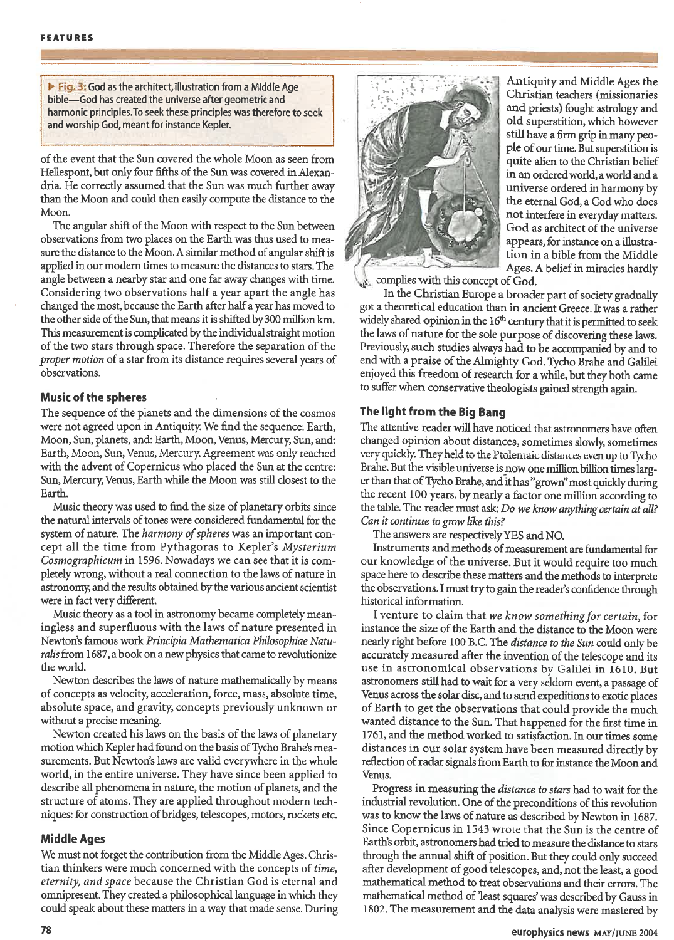**Fig. 3: God as the architect, illustration from a Middle Age** bible-God has created the universe after geometric and harmonic principles. To seek these principles was therefore to seek and worship God, meant for instance Kepler.

of the event that the Sun covered the whole Moon as seen from Hellespont, but only four fifths of the Sun was covered in Alexandria. He correctly assumed that the Sun was much further away than the Moon and could then easily compute the distance to the Moon.

The angular shift of the Moon with respect to the Sun between observations from two places on the Earth was thus used to measure the distance to the Moon. A similar method of angular shift is applied in our modern times to measure the distances to stars.The angle between a nearby star and one far away changes with time. Considering two observations half a year apart the angle has changed the most, because the Earth after half a year has moved to the other side of the Sun, that means it is shifted by 300 million km. This measurement is complicated by the individual straight motion of the two stars through space. Therefore the separation of the *proper motion* of a star from its distance requires several years of observations.

#### **Music of the spheres**

The sequence of the planets and the dimensions of the cosmos were not agreed upon in Antiquity. We find the sequence: Earth, Moon, Sun, planets, and: Earth, Moon, Venus, Mercury, Sun, and: Earth, Moon, Sun, Venus, Mercury. Agreement was only reached with the advent of Copernicus who placed the Sun at the centre: Sun, Mercury, Venus, Earth while the Moon was still closest to the Earth.

Music theory was used to find the size of planetary orbits since the natural intervals of tones were considered fundamental for the system of nature. The *harmony of spheres* was an important concept all the time from Pythagoras to Kepler's *Mysterium Cosmographicum* in 1596. Nowadays we can see that it is completely wrong, without a real connection to the laws of nature in astronomy, and the results obtained by the various ancient scientist were in fact very different.

Music theory as a tool in astronomy became completely meaningless and superfluous with the laws of nature presented in Newton's famous work *Principia Mathematica Philosophiae Naturalis* from 1687, a book on a new physics that came to revolutionize the world.

Newton describes the laws of nature mathematically by means of concepts as velocity, acceleration, force, mass, absolute time, absolute space, and gravity, concepts previously unknown or without a precise meaning.

Newton created his laws on the basis of the laws of planetary motion which Kepler had found on the basis of Tycho Brahe's measurements. But Newton's laws are valid everywhere in the whole world, in the entire universe. They have since been applied to describe all phenomena in nature, the motion of planets, and the structure of atoms. They are applied throughout modern techniques: for construction of bridges, telescopes, motors, rockets etc.

#### Middle Ages

We must not forget the contribution from the Middle Ages. Christian thinkers were much concerned with the concepts of *time, eternity, and space* because the Christian God is eternal and omnipresent. They created a philosophical language in which they could speak about these matters in a way that made sense. During



Antiquity and Middle Ages the Christian teachers (missionaries and priests) fought astrology and old superstition, which however still have a firm grip in many people of our time. But superstition is quite alien to the Christian belief in an orderedworld, aworld and a universe ordered in harmony by the eternal God, a God who does not interfere in everyday matters. God as architect of the universe appears, for instance on a illustration in a bible from the Middle Ages. A belief in miracles hardly

complies with this concept of God.

In the Christian Europe a broader part of society gradually got a theoretical education than in ancient Greece. It was a rather widely shared opinion in the  $16<sup>th</sup>$  century that it is permitted to seek the laws of nature for the sole purpose of discovering these laws. Previously, such studies always had to be accompanied by and to end with a praise of the Almighty God. Tycho Brahe and Galilei enjoyed this freedom of research for a while, but they both came to suffer when conservative theologists gained strength again.

#### **The light from the Big Bang**

The attentive reader will have noticed that astronomers have often changed opinion about distances, sometimes slowly, sometimes very quickly. Theyheld to the Ptolemaic distances even up to Tycho Brahe. But the visible universe is now one million billion times larger than that of Tycho Brahe, and it has "grown" most quickly during the recent 100 years, by nearly a factor one million according to the table. The reader must ask: *Do* we *know anything certain at all? Can it continue to grow like this?*

The answers are respectivelyYES and NO.

Instruments and methods of measurement are fundamental for our knowledge of the universe. But it would require too much space here to descnbe these matters and the methods to interprete the observations. I must try to gain the reader's confidence through historical information.

I venture to claim that we *know somethingfor certain,* for instance the size of the Earth and the distance to the Moon were nearly right before 100 RC. The *distance to the Sun* could only be accurately measured after the invention of the telescope and its use in astronomical observations by Galilei in 1610. But astronomers still had to wait for a very seldom event, a passage of Venus across the solar disc, and to send expeditions to exotic places of Earth to get the observations that could provide the much wanted distance to the Sun. That happened for the first time in 1761, and the method worked to satisfaction. In our times some distances in our solar system have been measured directly by reflection of radar signals from Earth to for instance the Moon and Venus.

Progress in measuring the *distance to stars* had to wait for the industrial revolution. One of the preconditions of this revolution was to know the laws of nature as described by Newton in 1687. Since Copernicus in 1543 wrote that the Sun is the centre of Earth's orbit, astronomers had tried to measure the distance to stars through the annual shift of position. But they could only succeed after development of good telescopes, and, not the least, a good mathematical method to treat observations and their errors. The mathematical method of'least squares' was described by Gauss in 1802. The measurement and the data analysis were mastered by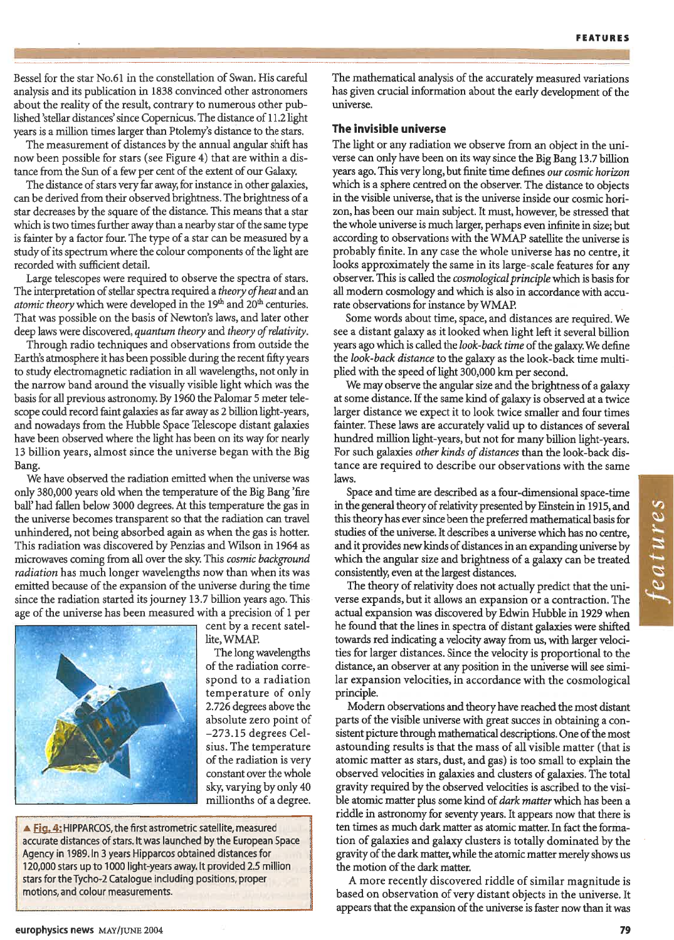Bessel for the star No.61 in the constellation of Swan. His careful analysis and its publication in 1838 convinced other astronomers about the reality of the result, contrary to numerous other published 'stellar distances'since Copernicus.The distance of 11.2 light years is a million times larger than Ptolemy's distance to the stars.

The measurement of distances by the annual angular shift has now been possible for stars (see Figure 4) that are within a distance from the Sun of a few per cent of the extent of our Galaxy.

The distance of stars very far away, for instance in other galaxies, can be derived from their observed brightness. The brightness of a star decreases by the square of the distance. This means that a star which is two times further away than a nearby star of the same type is fainter by a factor four. The type of a star can be measured by a study of its spectrum where the colour components of the light are recorded with sufficient detail.

Large telescopes were required to observe the spectra of stars. The interpretation of stellar spectra required a *theory* of heat and an *atomic theory* which were developed in the 19<sup>th</sup> and 20<sup>th</sup> centuries. That was possible on the basis of Newton's laws, and later other deep laws were discovered, *quantum theory* and *theory ofrelativity.*

Through radio techniques and observations from outside the Earth's atmosphere it has been possible during the recent fifty years to study electromagnetic radiation in all wavelengths, not only in the narrow band around the visually visible light which was the basis for all previous astronomy. By 1960 the Palomar 5 meter telescope could record faint galaxies as far away as 2billion light-years, and nowadays from the Hubble Space Telescope distant galaxies have been observed where the light has been on its way for nearly 13 billion years, almost since the universe began with the Big Bang.

We have observed the radiation emitted when the universe was only 380,000 years old when the temperature of the Big Bang 'fire ball' had fallen below 3000 degrees. At this temperature the gas in the universe becomes transparent so that the radiation can travel unhindered, not being absorbed again as when the gas is hotter. This radiation was discovered by Penzias and Wilson in 1964 as microwaves coming from all over the sky. This *cosmic background radiation* has much longer wavelengths now than when its was emitted because of the expansion of the universe during the time since the radiation started its journey 13.7 billion years ago. This age of the universe has been measured with a precision of 1 per



cent by a recent satellite,WMAP.

The long wavelengths of the radiation correspond to a radiation temperature of only 2.726 degrees above the absolute zero point of -273.15 degrees Celsius. The temperature of the radiation is very constant over the whole sky, varying by only 40 millionths of a degree.

A. Fig. 4:HIPPARCOS,the first astrometric satellite, measured accurate distances of stars. It was launched by the European<br>| Agency in 1989. In 3 years Hipparcos obtained distances for<br>| 120.000 stars up to 1000 light-vears away. It provided 2.5 m accurate distances of stars. It was launched by the European Space 120,000 stars up to 1000 light-years away. It provided 2.5 million stars for the Tycho-2 Catalogue including positions, proper motions, and colour measurements.

The mathematical analysis of the accurately measured variations has given crucial information about the early development of the universe.

#### **The invisible universe**

The light or any radiation we observe from an object in the universe can only have been on its way since the Big Bang 13.7 billion years ago. This very long, but finite time defines *our cosmic horizon* which is a sphere centred on the observer. The distance to objects in the visible universe, that is the universe inside our cosmic horizon, has been our main subject. It must, however, be stressed that the whole universe is much larger, perhaps even infinite in size; but according to observations with the WMAP satellite the universe is probably finite. In any case the whole universe has no centre, it looks approximately the same in its large-scale features for any observer. This is called the *cosmological principle* which is basis for all modern cosmology and which is also in accordance with accurate observations for instance byWMAP.

Some words about time, space, and distances are required. We see a distant galaxy as it looked when light left it several billion years ago which is called the *look-back time* of the galaxy. We define the *look-back distance* to the galaxy as the look-back time multiplied with the speed of light 300,000 km per second.

We may observe the angular size and the brightness of a galaxy at some distance. If the same kind of galaxy is observed at a twice larger distance we expect it to look twice smaller and four times fainter. These laws are accurately valid up to distances of several hundred million light-years, but not for many billion light-years. For such galaxies *other kinds of distances* than the look-back distance are required to describe our observations with the same laws.

Space and time are described as a four-dimensional space-time in the general theory of relativity presented by Einstein in 1915, and this theory has ever since been the preferred mathematical basis for studies of the universe. It describes a universe which has no centre, and it provides new kinds of distances in an expanding universe by which the angular size and brightness of a galaxy can be treated consistently, even at the largest distances.

The theory of relativity does not actually predict that the universe expands, but it allows an expansion or a contraction. The actual expansion was discovered by Edwin Hubble in 1929 when he found that the lines in spectra of distant galaxies were shifted towards red indicating a velocity away from us, with larger velocities for larger distances. Since the velocity is proportional to the distance, an observer at any position in the universe will see similar expansion velocities, in accordance with the cosmological principle.

Modern observations and theory have reached the most distant parts of the visible universe with great succes in obtaining a consistent picture through mathematical descriptions. One of the most astounding results is that the mass of all visible matter (that is atomic matter as stars, dust, and gas) is too small to explain the observed velocities in galaxies and clusters of galaxies. The total gravity required by the observed velocities is ascribed to the visible atomic matter plus some kind of *dark matter*which has been a riddle in astronomy for seventy years. It appears now that there is ten times as much dark matter as atomic matter. In fact the formation of galaxies and galaxy clusters is totally dominated by the gravity of the dark matter, while the atomic matter merely shows us the motion of the dark matter.

A more recently discovered riddle of similar magnitude is based on observation of very distant objects in the universe. It appears that the expansion of the universe is faster now than it was